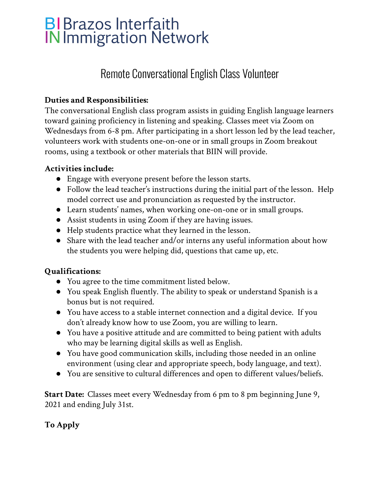# **BIBrazos Interfaith IN Immigration Network**

## Remote Conversational English Class Volunteer

### **Duties and Responsibilities:**

The conversational English class program assists in guiding English language learners toward gaining proficiency in listening and speaking. Classes meet via Zoom on Wednesdays from 6-8 pm. After participating in a short lesson led by the lead teacher, volunteers work with students one-on-one or in small groups in Zoom breakout rooms, using a textbook or other materials that BIIN will provide.

### **Activities include:**

- Engage with everyone present before the lesson starts.
- Follow the lead teacher's instructions during the initial part of the lesson. Help model correct use and pronunciation as requested by the instructor.
- Learn students' names, when working one-on-one or in small groups.
- Assist students in using Zoom if they are having issues.
- Help students practice what they learned in the lesson.
- Share with the lead teacher and/or interns any useful information about how the students you were helping did, questions that came up, etc.

#### **Qualifications:**

- **●** You agree to the time commitment listed below.
- You speak English fluently. The ability to speak or understand Spanish is a bonus but is not required.
- You have access to a stable internet connection and a digital device. If you don't already know how to use Zoom, you are willing to learn.
- You have a positive attitude and are committed to being patient with adults who may be learning digital skills as well as English.
- You have good communication skills, including those needed in an online environment (using clear and appropriate speech, body language, and text).
- **●** You are sensitive to cultural differences and open to different values/beliefs.

**Start Date:** Classes meet every Wednesday from 6 pm to 8 pm beginning June 9, 2021 and ending July 31st.

#### **To Apply**